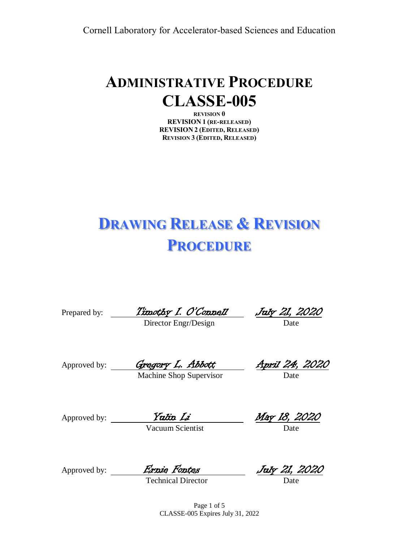## **ADMINISTRATIVE PROCEDURE CLASSE-005**

**REVISION 0 REVISION 1 (RE-RELEASED) REVISION 2 (EDITED, RELEASED) REVISION 3 (EDITED, RELEASED)**

# **DRAWING RELEASE & REVISION PROCEDURE**

Prepared by: Timothy I. O'Connell July 21, 2020

Director Engr/Design Date

Approved by: *Gregory L. Abbott* April 24, 2020

Machine Shop Supervisor

Approved by: <u>Yalin Li May 18, 2020</u> Vacuum Scientist Date

Approved by: *Ernie Fontes* July 21, 2020

Technical Director

Page 1 of 5 CLASSE-005 Expires July 31, 2022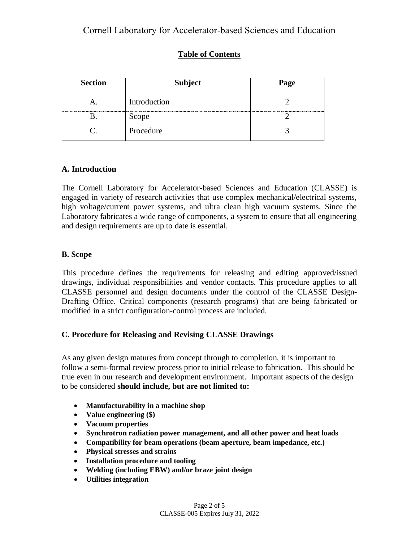#### **Table of Contents**

| <b>Section</b> | <b>Subject</b> | Page |  |  |
|----------------|----------------|------|--|--|
|                | Introduction   |      |  |  |
|                | Scope          |      |  |  |
|                | Procedure      |      |  |  |

#### **A. Introduction**

The Cornell Laboratory for Accelerator-based Sciences and Education (CLASSE) is engaged in variety of research activities that use complex mechanical/electrical systems, high voltage/current power systems, and ultra clean high vacuum systems. Since the Laboratory fabricates a wide range of components, a system to ensure that all engineering and design requirements are up to date is essential.

#### **B. Scope**

This procedure defines the requirements for releasing and editing approved/issued drawings, individual responsibilities and vendor contacts. This procedure applies to all CLASSE personnel and design documents under the control of the CLASSE Design-Drafting Office. Critical components (research programs) that are being fabricated or modified in a strict configuration-control process are included.

#### **C. Procedure for Releasing and Revising CLASSE Drawings**

As any given design matures from concept through to completion, it is important to follow a semi-formal review process prior to initial release to fabrication. This should be true even in our research and development environment. Important aspects of the design to be considered **should include, but are not limited to:**

- **Manufacturability in a machine shop**
- **Value engineering (\$)**
- **Vacuum properties**
- **Synchrotron radiation power management, and all other power and heat loads**
- **Compatibility for beam operations (beam aperture, beam impedance, etc.)**
- **Physical stresses and strains**
- **Installation procedure and tooling**
- **Welding (including EBW) and/or braze joint design**
- **Utilities integration**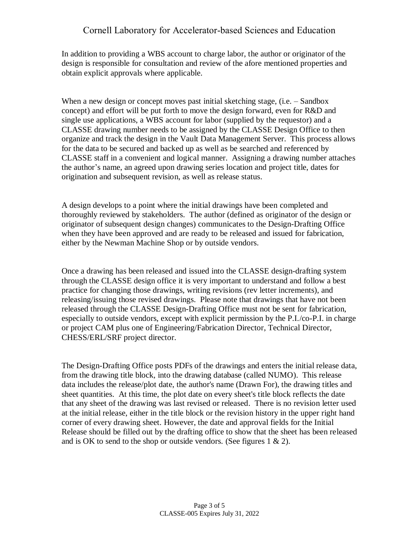In addition to providing a WBS account to charge labor, the author or originator of the design is responsible for consultation and review of the afore mentioned properties and obtain explicit approvals where applicable.

When a new design or concept moves past initial sketching stage, (i.e. – Sandbox concept) and effort will be put forth to move the design forward, even for R&D and single use applications, a WBS account for labor (supplied by the requestor) and a CLASSE drawing number needs to be assigned by the CLASSE Design Office to then organize and track the design in the Vault Data Management Server. This process allows for the data to be secured and backed up as well as be searched and referenced by CLASSE staff in a convenient and logical manner. Assigning a drawing number attaches the author's name, an agreed upon drawing series location and project title, dates for origination and subsequent revision, as well as release status.

A design develops to a point where the initial drawings have been completed and thoroughly reviewed by stakeholders. The author (defined as originator of the design or originator of subsequent design changes) communicates to the Design-Drafting Office when they have been approved and are ready to be released and issued for fabrication, either by the Newman Machine Shop or by outside vendors.

Once a drawing has been released and issued into the CLASSE design-drafting system through the CLASSE design office it is very important to understand and follow a best practice for changing those drawings, writing revisions (rev letter increments), and releasing/issuing those revised drawings. Please note that drawings that have not been released through the CLASSE Design-Drafting Office must not be sent for fabrication, especially to outside vendors, except with explicit permission by the P.I./co-P.I. in charge or project CAM plus one of Engineering/Fabrication Director, Technical Director, CHESS/ERL/SRF project director.

The Design-Drafting Office posts PDFs of the drawings and enters the initial release data, from the drawing title block, into the drawing database (called NUMO). This release data includes the release/plot date, the author's name (Drawn For), the drawing titles and sheet quantities. At this time, the plot date on every sheet's title block reflects the date that any sheet of the drawing was last revised or released. There is no revision letter used at the initial release, either in the title block or the revision history in the upper right hand corner of every drawing sheet. However, the date and approval fields for the Initial Release should be filled out by the drafting office to show that the sheet has been released and is OK to send to the shop or outside vendors. (See figures  $1 \& 2$ ).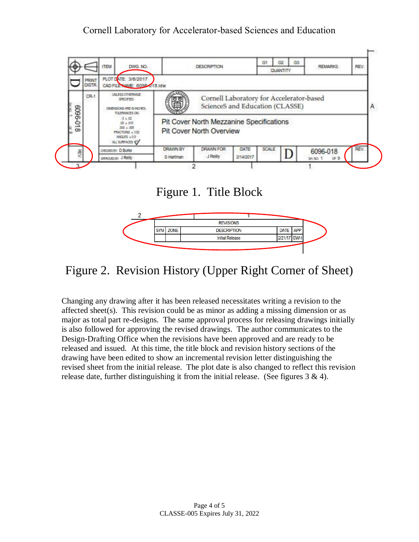

### Figure 1. Title Block



## Figure 2. Revision History (Upper Right Corner of Sheet)

Changing any drawing after it has been released necessitates writing a revision to the affected sheet(s). This revision could be as minor as adding a missing dimension or as major as total part re-designs. The same approval process for releasing drawings initially is also followed for approving the revised drawings. The author communicates to the Design-Drafting Office when the revisions have been approved and are ready to be released and issued. At this time, the title block and revision history sections of the drawing have been edited to show an incremental revision letter distinguishing the revised sheet from the initial release. The plot date is also changed to reflect this revision release date, further distinguishing it from the initial release. (See figures  $3 \& 4$ ).